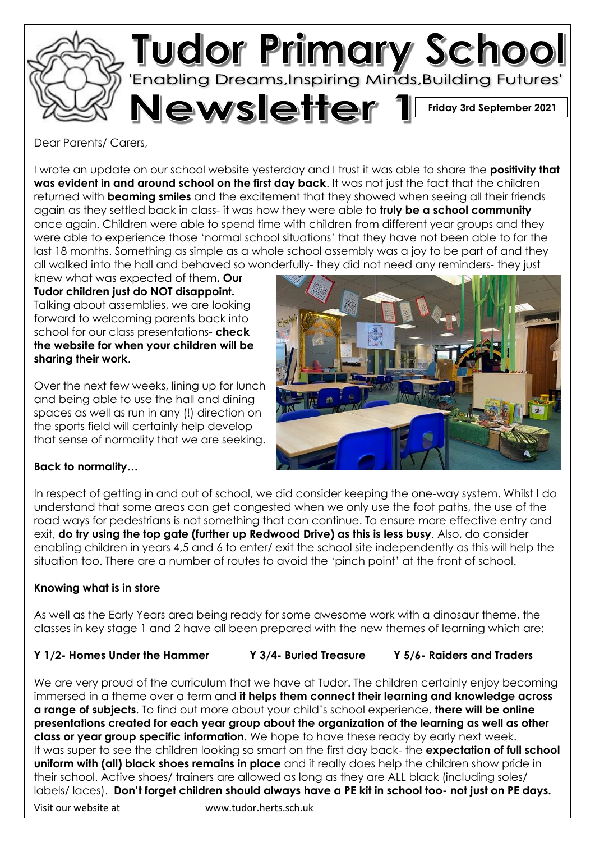

Dear Parents/ Carers,

I wrote an update on our school website yesterday and I trust it was able to share the **positivity that was evident in and around school on the first day back**. It was not just the fact that the children returned with **beaming smiles** and the excitement that they showed when seeing all their friends again as they settled back in class- it was how they were able to **truly be a school community** once again. Children were able to spend time with children from different year groups and they were able to experience those 'normal school situations' that they have not been able to for the last 18 months. Something as simple as a whole school assembly was a joy to be part of and they all walked into the hall and behaved so wonderfully- they did not need any reminders- they just

knew what was expected of them**. Our Tudor children just do NOT disappoint.** Talking about assemblies, we are looking forward to welcoming parents back into school for our class presentations- **check the website for when your children will be sharing their work**.

Over the next few weeks, lining up for lunch and being able to use the hall and dining spaces as well as run in any (!) direction on the sports field will certainly help develop that sense of normality that we are seeking.



# **Back to normality…**

In respect of getting in and out of school, we did consider keeping the one-way system. Whilst I do understand that some areas can get congested when we only use the foot paths, the use of the road ways for pedestrians is not something that can continue. To ensure more effective entry and exit, **do try using the top gate (further up Redwood Drive) as this is less busy**. Also, do consider enabling children in years 4,5 and 6 to enter/ exit the school site independently as this will help the situation too. There are a number of routes to avoid the 'pinch point' at the front of school.

#### **Knowing what is in store**

As well as the Early Years area being ready for some awesome work with a dinosaur theme, the classes in key stage 1 and 2 have all been prepared with the new themes of learning which are:

# **Y 1/2- Homes Under the Hammer Y 3/4- Buried Treasure Y 5/6- Raiders and Traders**

Visit our website at www.tudor.herts.sch.uk We are very proud of the curriculum that we have at Tudor. The children certainly enjoy becoming immersed in a theme over a term and **it helps them connect their learning and knowledge across a range of subjects**. To find out more about your child's school experience, **there will be online presentations created for each year group about the organization of the learning as well as other class or year group specific information**. We hope to have these ready by early next week. It was super to see the children looking so smart on the first day back- the **expectation of full school uniform with (all) black shoes remains in place** and it really does help the children show pride in their school. Active shoes/ trainers are allowed as long as they are ALL black (including soles/ labels/ laces). **Don't forget children should always have a PE kit in school too- not just on PE days.**